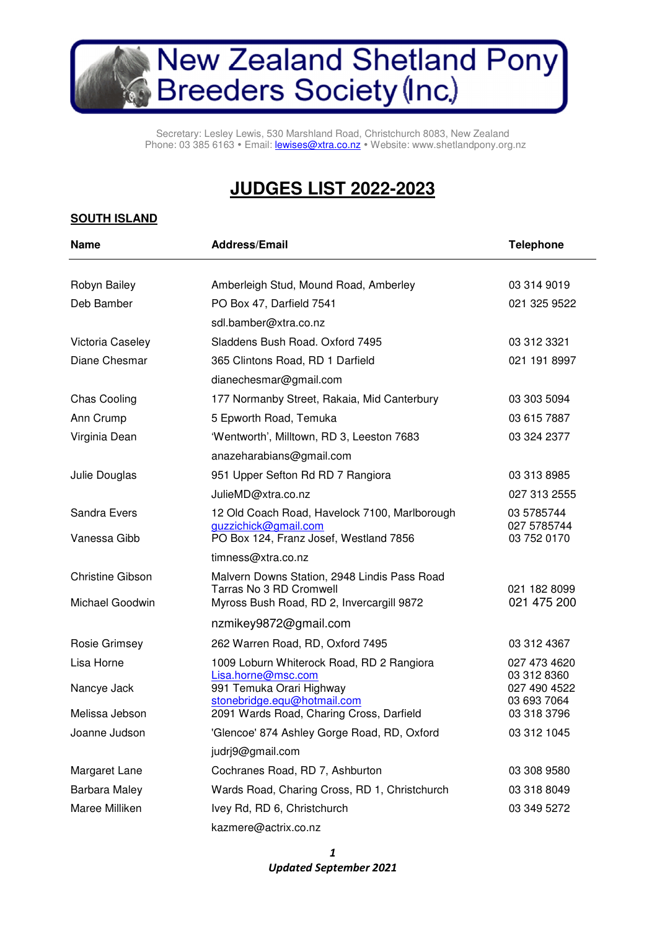# New Zealand Shetland Pony<br>Breeders Society (Inc.)

Secretary: Lesley Lewis, 530 Marshland Road, Christchurch 8083, New Zealand Phone: 03 385 6163 · Email: **lewises@xtra.co.nz** · Website: www.shetlandpony.org.nz

## **JUDGES LIST 2022-2023**

#### **SOUTH ISLAND**

| <b>Name</b>                                | <b>Address/Email</b>                                                                                                       | <b>Telephone</b>                                           |
|--------------------------------------------|----------------------------------------------------------------------------------------------------------------------------|------------------------------------------------------------|
| Robyn Bailey                               | Amberleigh Stud, Mound Road, Amberley                                                                                      | 03 314 9019                                                |
| Deb Bamber                                 | PO Box 47, Darfield 7541                                                                                                   | 021 325 9522                                               |
|                                            | sdl.bamber@xtra.co.nz                                                                                                      |                                                            |
| Victoria Caseley                           | Sladdens Bush Road. Oxford 7495                                                                                            | 03 312 3321                                                |
| Diane Chesmar                              | 365 Clintons Road, RD 1 Darfield                                                                                           | 021 191 8997                                               |
|                                            | dianechesmar@gmail.com                                                                                                     |                                                            |
| <b>Chas Cooling</b>                        | 177 Normanby Street, Rakaia, Mid Canterbury                                                                                | 03 303 5094                                                |
| Ann Crump                                  | 5 Epworth Road, Temuka                                                                                                     | 03 615 7887                                                |
| Virginia Dean                              | 'Wentworth', Milltown, RD 3, Leeston 7683                                                                                  | 03 324 2377                                                |
|                                            | anazeharabians@gmail.com                                                                                                   |                                                            |
| Julie Douglas                              | 951 Upper Sefton Rd RD 7 Rangiora                                                                                          | 03 313 8985                                                |
|                                            | JulieMD@xtra.co.nz                                                                                                         | 027 313 2555                                               |
| Sandra Evers<br>Vanessa Gibb               | 12 Old Coach Road, Havelock 7100, Marlborough<br>guzzichick@gmail.com<br>PO Box 124, Franz Josef, Westland 7856            | 03 5785744<br>027 5785744<br>03 752 0170                   |
|                                            | timness@xtra.co.nz                                                                                                         |                                                            |
| <b>Christine Gibson</b><br>Michael Goodwin | Malvern Downs Station, 2948 Lindis Pass Road<br>Tarras No 3 RD Cromwell<br>Myross Bush Road, RD 2, Invercargill 9872       | 021 182 8099<br>021 475 200                                |
|                                            | nzmikey9872@gmail.com                                                                                                      |                                                            |
| Rosie Grimsey                              | 262 Warren Road, RD, Oxford 7495                                                                                           | 03 312 4367                                                |
| Lisa Horne<br>Nancye Jack                  | 1009 Loburn Whiterock Road, RD 2 Rangiora<br>Lisa.horne@msc.com<br>991 Temuka Orari Highway<br>stonebridge.equ@hotmail.com | 027 473 4620<br>03 312 8360<br>027 490 4522<br>03 693 7064 |
| Melissa Jebson                             | 2091 Wards Road, Charing Cross, Darfield                                                                                   | 03 318 3796                                                |
| Joanne Judson                              | 'Glencoe' 874 Ashley Gorge Road, RD, Oxford                                                                                | 03 312 1045                                                |
|                                            | judrj9@gmail.com                                                                                                           |                                                            |
| Margaret Lane                              | Cochranes Road, RD 7, Ashburton                                                                                            | 03 308 9580                                                |
| Barbara Maley                              | Wards Road, Charing Cross, RD 1, Christchurch                                                                              | 03 318 8049                                                |
| Maree Milliken                             | Ivey Rd, RD 6, Christchurch                                                                                                | 03 349 5272                                                |
|                                            | kazmere@actrix.co.nz                                                                                                       |                                                            |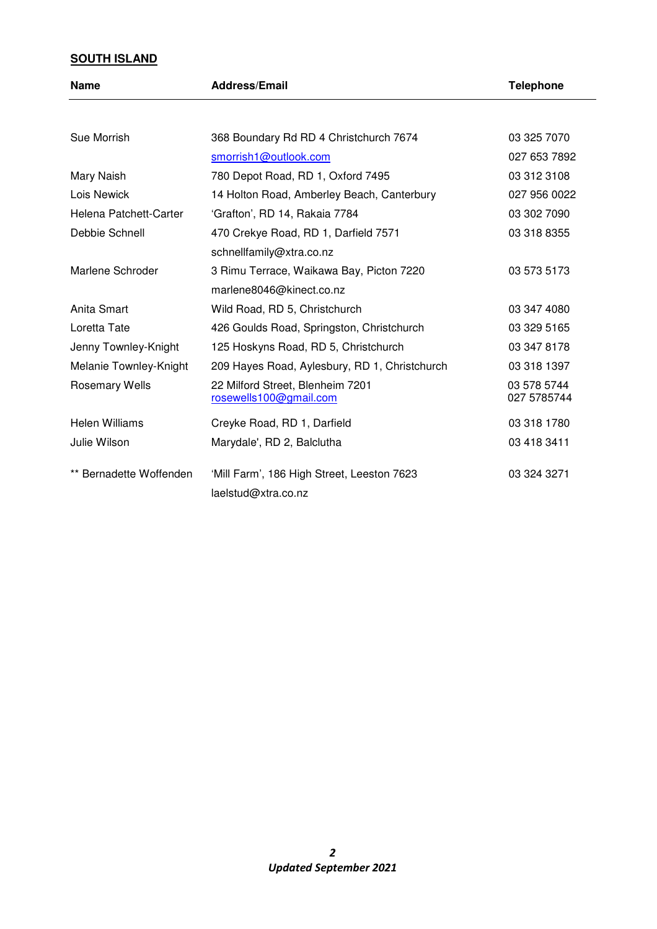### **SOUTH ISLAND**

| <b>Name</b>             | <b>Address/Email</b>                                              | <b>Telephone</b>           |
|-------------------------|-------------------------------------------------------------------|----------------------------|
|                         |                                                                   |                            |
| Sue Morrish             | 368 Boundary Rd RD 4 Christchurch 7674                            | 03 325 7070                |
|                         | smorrish1@outlook.com                                             | 027 653 7892               |
| Mary Naish              | 780 Depot Road, RD 1, Oxford 7495                                 | 03 312 3108                |
| Lois Newick             | 14 Holton Road, Amberley Beach, Canterbury                        | 027 956 0022               |
| Helena Patchett-Carter  | 'Grafton', RD 14, Rakaia 7784                                     | 03 302 7090                |
| Debbie Schnell          | 470 Crekye Road, RD 1, Darfield 7571                              | 03 318 8355                |
|                         | schnellfamily@xtra.co.nz                                          |                            |
| Marlene Schroder        | 3 Rimu Terrace, Waikawa Bay, Picton 7220                          | 03 573 5173                |
|                         | marlene8046@kinect.co.nz                                          |                            |
| Anita Smart             | Wild Road, RD 5, Christchurch                                     | 03 347 4080                |
| Loretta Tate            | 426 Goulds Road, Springston, Christchurch                         | 03 329 5165                |
| Jenny Townley-Knight    | 125 Hoskyns Road, RD 5, Christchurch                              | 03 347 8178                |
| Melanie Townley-Knight  | 209 Hayes Road, Aylesbury, RD 1, Christchurch                     | 03 318 1397                |
| <b>Rosemary Wells</b>   | 22 Milford Street, Blenheim 7201<br>rosewells100@gmail.com        | 03 578 5744<br>027 5785744 |
| Helen Williams          | Creyke Road, RD 1, Darfield                                       | 03 318 1780                |
| Julie Wilson            | Marydale', RD 2, Balclutha                                        | 03 418 3411                |
| ** Bernadette Woffenden | 'Mill Farm', 186 High Street, Leeston 7623<br>laelstud@xtra.co.nz | 03 324 3271                |